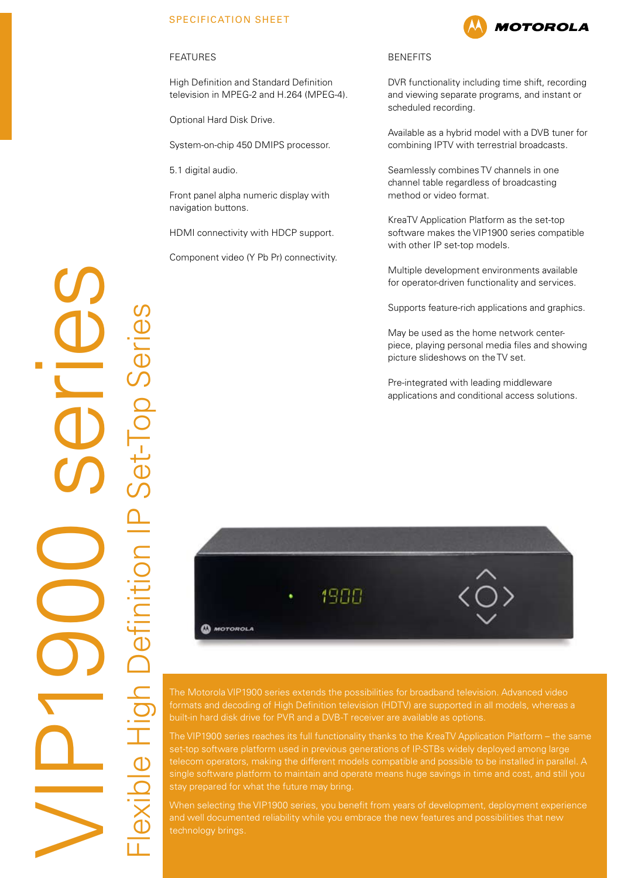## SPECIFICATION SHEET

#### FEATURES

High Definition and Standard Definition television in MPEG-2 and H.264 (MPEG-4).

Optional Hard Disk Drive.

System-on-chip 450 DMIPS processor.

5.1 digital audio.

Front panel alpha numeric display with navigation buttons.

HDMI connectivity with HDCP support.

Component video (Y Pb Pr) connectivity.

### BENEFITS

DVR functionality including time shift, recording and viewing separate programs, and instant or scheduled recording.

Available as a hybrid model with a DVB tuner for combining IPTV with terrestrial broadcasts.

Seamlessly combines TV channels in one channel table regardless of broadcasting method or video format.

KreaTV Application Platform as the set-top software makes the VIP1900 series compatible with other IP set-top models.

Multiple development environments available for operator-driven functionality and services.

Supports feature-rich applications and graphics.

May be used as the home network centerpiece, playing personal media files and showing picture slideshows on the TV set.

Pre-integrated with leading middleware applications and conditional access solutions.



formats and decoding of High Definition television (HDTV) are supported in all models, whereas a built-in hard disk drive for PVR and a DVB-T receiver are available as options.

The VIP1900 series reaches its full functionality thanks to the KreaTV Application Platform – the same set-top software platform used in previous generations of IP-STBs widely deployed among large single software platform to maintain and operate means huge savings in time and cost, and still you

When selecting the VIP1900 series, you benefit from years of development, deployment experience technology brings.

VIP1900 series